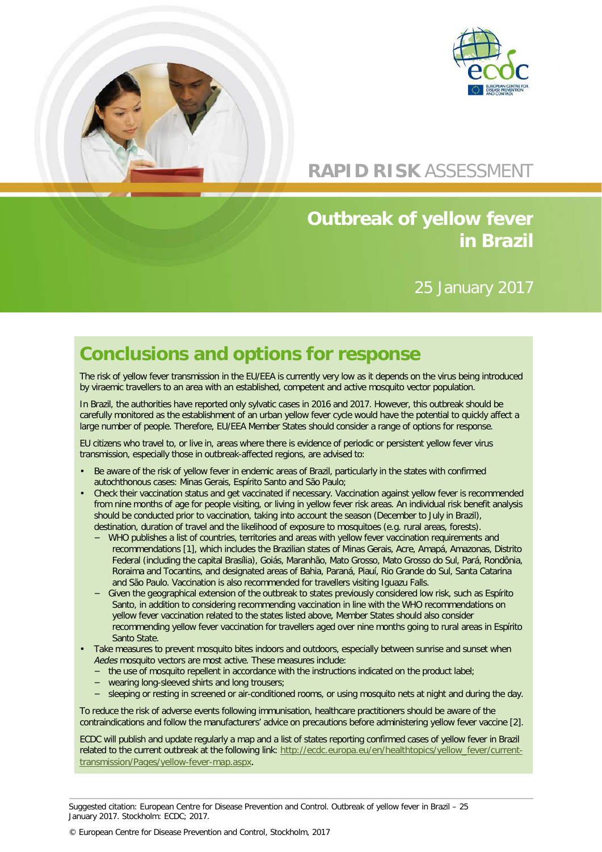



# **RAPID RISK** ASSESSMENT

# **Outbreak of yellow fever in Brazil**

## 25 January 2017

# **Conclusions and options for response**

The risk of yellow fever transmission in the EU/EEA is currently very low as it depends on the virus being introduced by viraemic travellers to an area with an established, competent and active mosquito vector population.

In Brazil, the authorities have reported only sylvatic cases in 2016 and 2017. However, this outbreak should be carefully monitored as the establishment of an urban yellow fever cycle would have the potential to quickly affect a large number of people. Therefore, EU/EEA Member States should consider a range of options for response.

EU citizens who travel to, or live in, areas where there is evidence of periodic or persistent yellow fever virus transmission, especially those in outbreak-affected regions, are advised to:

- Be aware of the risk of yellow fever in endemic areas of Brazil, particularly in the states with confirmed autochthonous cases: Minas Gerais, Espírito Santo and São Paulo;
- Check their vaccination status and get vaccinated if necessary. Vaccination against yellow fever is recommended from nine months of age for people visiting, or living in yellow fever risk areas. An individual risk benefit analysis should be conducted prior to vaccination, taking into account the season (December to July in Brazil), destination, duration of travel and the likelihood of exposure to mosquitoes (e.g. rural areas, forests).
	- − WHO publishes a list of countries, territories and areas with yellow fever vaccination requirements and recommendations [1], which includes the Brazilian states of Minas Gerais, Acre, Amapá, Amazonas, Distrito Federal (including the capital Brasília), Goiás, Maranhão, Mato Grosso, Mato Grosso do Sul, Pará, Rondônia, Roraima and Tocantins, and designated areas of Bahia, Paraná, Piauí, Rio Grande do Sul, Santa Catarina and São Paulo. Vaccination is also recommended for travellers visiting Iguazu Falls.
	- − Given the geographical extension of the outbreak to states previously considered low risk, such as Espírito Santo, in addition to considering recommending vaccination in line with the WHO recommendations on yellow fever vaccination related to the states listed above, Member States should also consider recommending yellow fever vaccination for travellers aged over nine months going to rural areas in Espírito Santo State.
- Take measures to prevent mosquito bites indoors and outdoors, especially between sunrise and sunset when *Aedes* mosquito vectors are most active. These measures include:
	- − the use of mosquito repellent in accordance with the instructions indicated on the product label;
	- vearing long-sleeved shirts and long trousers;
	- − sleeping or resting in screened or air-conditioned rooms, or using mosquito nets at night and during the day.

To reduce the risk of adverse events following immunisation, healthcare practitioners should be aware of the contraindications and follow the manufacturers' advice on precautions before administering yellow fever vaccine [2].

ECDC will publish and update regularly a map and a list of states reporting confirmed cases of yellow fever in Brazil related to the current outbreak at the following link: [http://ecdc.europa.eu/en/healthtopics/yellow\\_fever/current](http://ecdc.europa.eu/en/healthtopics/yellow_fever/current-transmission/Pages/yellow-fever-map.aspx)[transmission/Pages/yellow-fever-map.aspx.](http://ecdc.europa.eu/en/healthtopics/yellow_fever/current-transmission/Pages/yellow-fever-map.aspx)

Suggested citation: European Centre for Disease Prevention and Control. Outbreak of yellow fever in Brazil – 25 January 2017. Stockholm: ECDC; 2017.

© European Centre for Disease Prevention and Control, Stockholm, 2017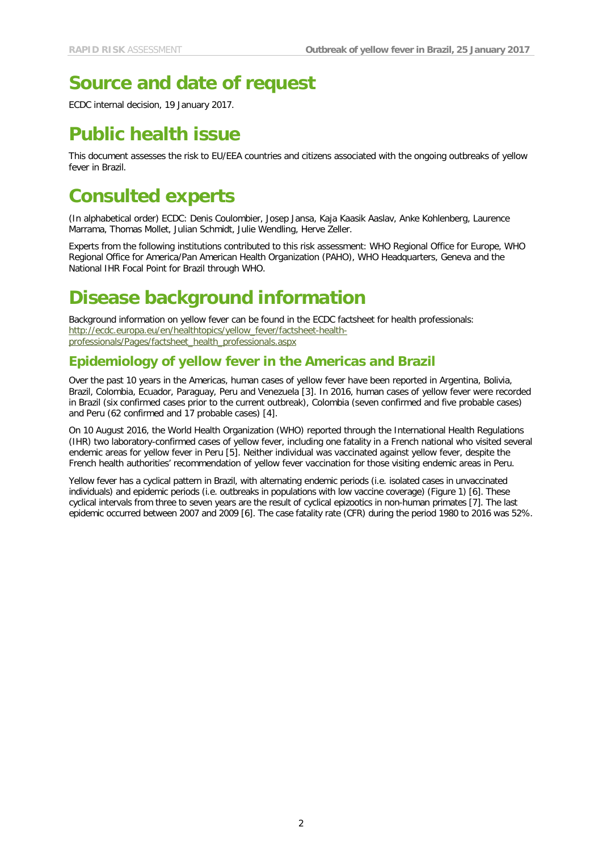# **Source and date of request**

ECDC internal decision, 19 January 2017.

# **Public health issue**

This document assesses the risk to EU/EEA countries and citizens associated with the ongoing outbreaks of yellow fever in Brazil.

# **Consulted experts**

(In alphabetical order) ECDC: Denis Coulombier, Josep Jansa, Kaja Kaasik Aaslav, Anke Kohlenberg, Laurence Marrama, Thomas Mollet, Julian Schmidt, Julie Wendling, Herve Zeller.

Experts from the following institutions contributed to this risk assessment: WHO Regional Office for Europe, WHO Regional Office for America/Pan American Health Organization (PAHO), WHO Headquarters, Geneva and the National IHR Focal Point for Brazil through WHO.

# **Disease background information**

Background information on yellow fever can be found in the ECDC factsheet for health professionals: [http://ecdc.europa.eu/en/healthtopics/yellow\\_fever/factsheet-health](http://ecdc.europa.eu/en/healthtopics/yellow_fever/factsheet-health-professionals/Pages/factsheet_health_professionals.aspx)[professionals/Pages/factsheet\\_health\\_professionals.aspx](http://ecdc.europa.eu/en/healthtopics/yellow_fever/factsheet-health-professionals/Pages/factsheet_health_professionals.aspx)

### **Epidemiology of yellow fever in the Americas and Brazil**

Over the past 10 years in the Americas, human cases of yellow fever have been reported in Argentina, Bolivia, Brazil, Colombia, Ecuador, Paraguay, Peru and Venezuela [3]. In 2016, human cases of yellow fever were recorded in Brazil (six confirmed cases prior to the current outbreak), Colombia (seven confirmed and five probable cases) and Peru (62 confirmed and 17 probable cases) [4].

On 10 August 2016, the World Health Organization (WHO) reported through the International Health Regulations (IHR) two laboratory-confirmed cases of yellow fever, including one fatality in a French national who visited several endemic areas for yellow fever in Peru [5]. Neither individual was vaccinated against yellow fever, despite the French health authorities' recommendation of yellow fever vaccination for those visiting endemic areas in Peru.

Yellow fever has a cyclical pattern in Brazil, with alternating endemic periods (i.e. isolated cases in unvaccinated individuals) and epidemic periods (i.e. outbreaks in populations with low vaccine coverage) (Figure 1) [6]. These cyclical intervals from three to seven years are the result of cyclical epizootics in non-human primates [7]. The last epidemic occurred between 2007 and 2009 [6]. The case fatality rate (CFR) during the period 1980 to 2016 was 52%.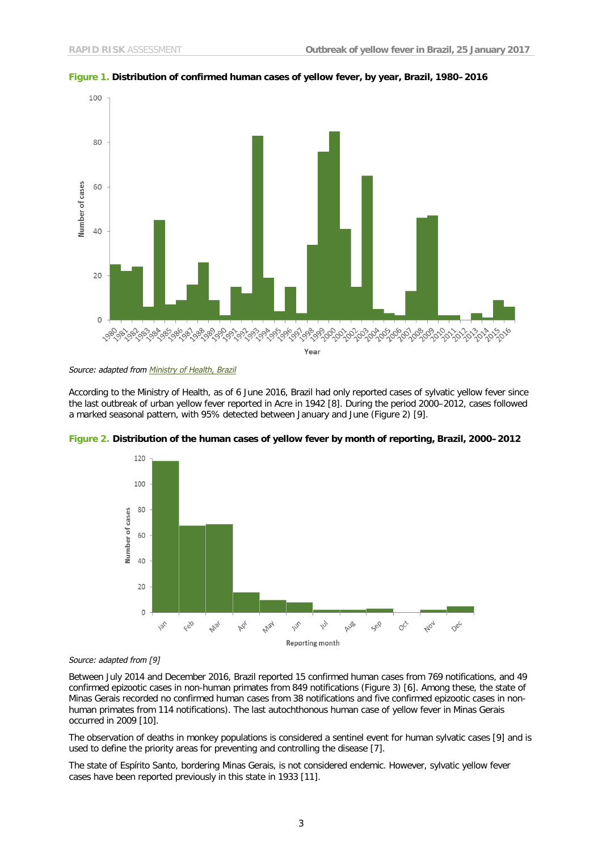



*Source: adapted from [Ministry of Health,](http://portalsaude.saude.gov.br/index.php/situacao-epidemiologica-dados-febreamarela) Brazil*

According to the Ministry of Health, as of 6 June 2016, Brazil had only reported cases of sylvatic yellow fever since the last outbreak of urban yellow fever reported in Acre in 1942 [8]. During the period 2000–2012, cases followed a marked seasonal pattern, with 95% detected between January and June (Figure 2) [9].



**Figure 2. Distribution of the human cases of yellow fever by month of reporting, Brazil, 2000–2012**

*Source: adapted from [9]*

Between July 2014 and December 2016, Brazil reported 15 confirmed human cases from 769 notifications, and 49 confirmed epizootic cases in non-human primates from 849 notifications (Figure 3) [6]. Among these, the state of Minas Gerais recorded no confirmed human cases from 38 notifications and five confirmed epizootic cases in nonhuman primates from 114 notifications). The last autochthonous human case of yellow fever in Minas Gerais occurred in 2009 [10].

The observation of deaths in monkey populations is considered a sentinel event for human sylvatic cases [9] and is used to define the priority areas for preventing and controlling the disease [7].

The state of Espírito Santo, bordering Minas Gerais, is not considered endemic. However, sylvatic yellow fever cases have been reported previously in this state in 1933 [11].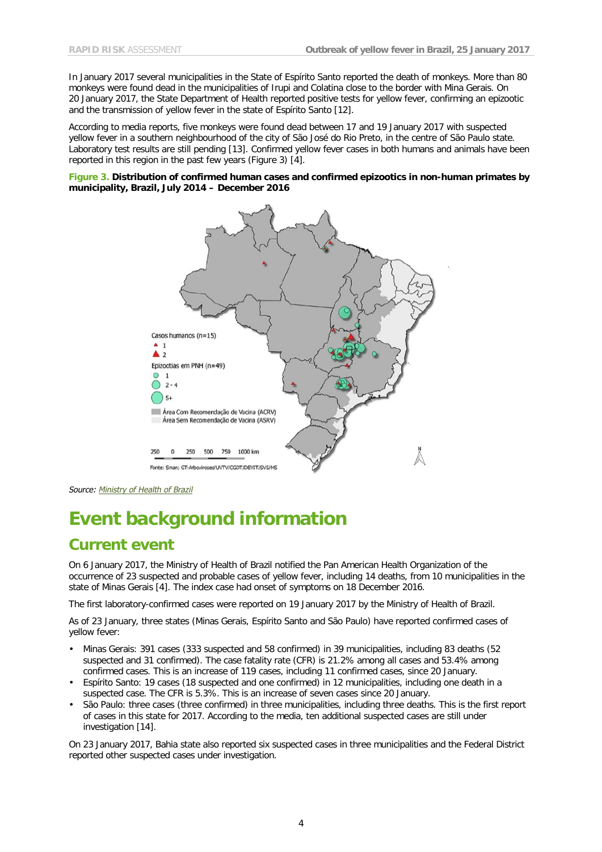In January 2017 several municipalities in the State of Espírito Santo reported the death of monkeys. More than 80 monkeys were found dead in the municipalities of Irupi and Colatina close to the border with Mina Gerais. On 20 January 2017, the State Department of Health reported positive tests for yellow fever, confirming an epizootic and the transmission of yellow fever in the state of Espírito Santo [12].

According to media reports, five monkeys were found dead between 17 and 19 January 2017 with suspected yellow fever in a southern neighbourhood of the city of São José do Rio Preto, in the centre of São Paulo state. Laboratory test results are still pending [13]. Confirmed yellow fever cases in both humans and animals have been reported in this region in the past few years (Figure 3) [4].

**Figure 3. Distribution of confirmed human cases and confirmed epizootics in non-human primates by municipality, Brazil, July 2014 – December 2016**



*Source: [Ministry of Health of Brazil](http://portalsaude.saude.gov.br/index.php/situacao-epidemiologica-dados-febreamarela)*

# **Event background information**

## **Current event**

On 6 January 2017, the Ministry of Health of Brazil notified the Pan American Health Organization of the occurrence of 23 suspected and probable cases of yellow fever, including 14 deaths, from 10 municipalities in the state of Minas Gerais [4]. The index case had onset of symptoms on 18 December 2016.

The first laboratory-confirmed cases were reported on 19 January 2017 by the Ministry of Health of Brazil.

As of 23 January, three states (Minas Gerais, Espírito Santo and São Paulo) have reported confirmed cases of yellow fever:

- Minas Gerais: 391 cases (333 suspected and 58 confirmed) in 39 municipalities, including 83 deaths (52 suspected and 31 confirmed). The case fatality rate (CFR) is 21.2% among all cases and 53.4% among confirmed cases. This is an increase of 119 cases, including 11 confirmed cases, since 20 January.
- Espírito Santo: 19 cases (18 suspected and one confirmed) in 12 municipalities, including one death in a suspected case. The CFR is 5.3%. This is an increase of seven cases since 20 January.
- São Paulo: three cases (three confirmed) in three municipalities, including three deaths. This is the first report of cases in this state for 2017. According to the media, ten additional suspected cases are still under investigation [14].

On 23 January 2017, Bahia state also reported six suspected cases in three municipalities and the Federal District reported other suspected cases under investigation.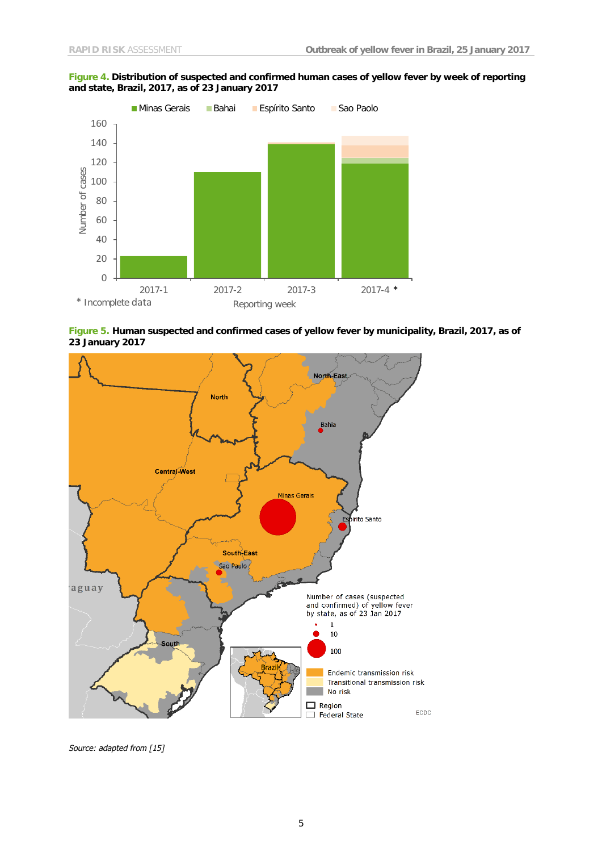### **Figure 4. Distribution of suspected and confirmed human cases of yellow fever by week of reporting and state, Brazil, 2017, as of 23 January 2017**



**Figure 5. Human suspected and confirmed cases of yellow fever by municipality, Brazil, 2017, as of 23 January 2017**



*Source: adapted from [15]*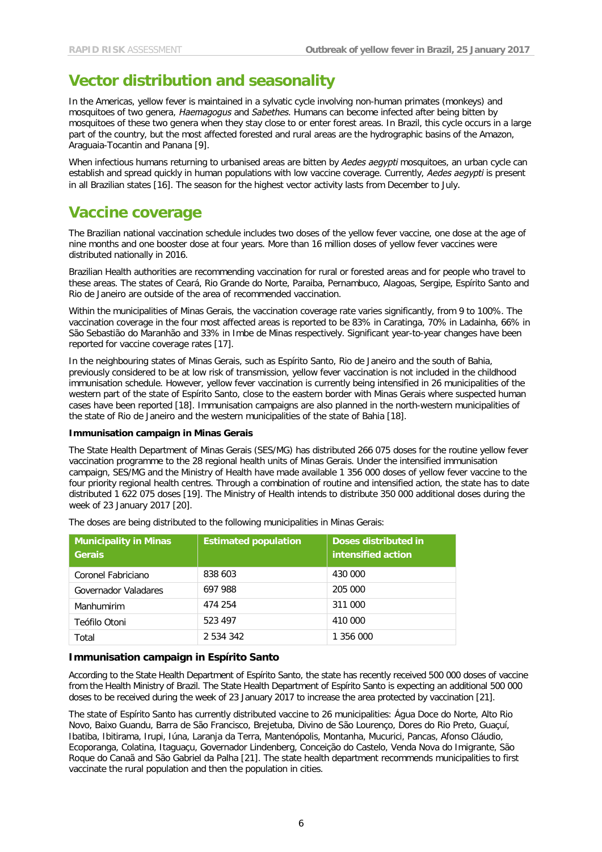## **Vector distribution and seasonality**

In the Americas, yellow fever is maintained in a sylvatic cycle involving non-human primates (monkeys) and mosquitoes of two genera, *Haemagogus* and *Sabethes*. Humans can become infected after being bitten by mosquitoes of these two genera when they stay close to or enter forest areas. In Brazil, this cycle occurs in a large part of the country, but the most affected forested and rural areas are the hydrographic basins of the Amazon, Araguaia-Tocantin and Panana [9].

When infectious humans returning to urbanised areas are bitten by *Aedes aegypti* mosquitoes, an urban cycle can establish and spread quickly in human populations with low vaccine coverage. Currently, *Aedes aegypti* is present in all Brazilian states [16]. The season for the highest vector activity lasts from December to July.

## **Vaccine coverage**

The Brazilian national vaccination schedule includes two doses of the yellow fever vaccine, one dose at the age of nine months and one booster dose at four years. More than 16 million doses of yellow fever vaccines were distributed nationally in 2016.

Brazilian Health authorities are recommending vaccination for rural or forested areas and for people who travel to these areas. The states of Ceará, Rio Grande do Norte, Paraiba, Pernambuco, Alagoas, Sergipe, Espírito Santo and Rio de Janeiro are outside of the area of recommended vaccination.

Within the municipalities of Minas Gerais, the vaccination coverage rate varies significantly, from 9 to 100%. The vaccination coverage in the four most affected areas is reported to be 83% in Caratinga, 70% in Ladainha, 66% in São Sebastião do Maranhão and 33% in Imbe de Minas respectively. Significant year-to-year changes have been reported for vaccine coverage rates [17].

In the neighbouring states of Minas Gerais, such as Espírito Santo, Rio de Janeiro and the south of Bahia, previously considered to be at low risk of transmission, yellow fever vaccination is not included in the childhood immunisation schedule. However, yellow fever vaccination is currently being intensified in 26 municipalities of the western part of the state of Espírito Santo, close to the eastern border with Minas Gerais where suspected human cases have been reported [18]. Immunisation campaigns are also planned in the north-western municipalities of the state of Rio de Janeiro and the western municipalities of the state of Bahia [18].

### **Immunisation campaign in Minas Gerais**

The State Health Department of Minas Gerais (SES/MG) has distributed 266 075 doses for the routine yellow fever vaccination programme to the 28 regional health units of Minas Gerais. Under the intensified immunisation campaign, SES/MG and the Ministry of Health have made available 1 356 000 doses of yellow fever vaccine to the four priority regional health centres. Through a combination of routine and intensified action, the state has to date distributed 1 622 075 doses [19]. The Ministry of Health intends to distribute 350 000 additional doses during the week of 23 January 2017 [20].

| <b>Municipality in Minas</b><br><b>Gerais</b> | <b>Estimated population</b> | Doses distributed in<br>intensified action |
|-----------------------------------------------|-----------------------------|--------------------------------------------|
| Coronel Fabriciano                            | 838 603                     | 430 000                                    |
| Governador Valadares                          | 697 988                     | 205 000                                    |
| Manhumirim                                    | 474 254                     | 311 000                                    |
| Teófilo Otoni                                 | 523 497                     | 410 000                                    |
| Total                                         | 2 534 342                   | 1 356 000                                  |

The doses are being distributed to the following municipalities in Minas Gerais:

### **Immunisation campaign in Espírito Santo**

According to the State Health Department of Espírito Santo, the state has recently received 500 000 doses of vaccine from the Health Ministry of Brazil. The State Health Department of Espírito Santo is expecting an additional 500 000 doses to be received during the week of 23 January 2017 to increase the area protected by vaccination [21].

The state of Espírito Santo has currently distributed vaccine to 26 municipalities: Água Doce do Norte, Alto Rio Novo, Baixo Guandu, Barra de São Francisco, Brejetuba, Divino de São Lourenço, Dores do Rio Preto, Guaçuí, Ibatiba, Ibitirama, Irupi, Iúna, Laranja da Terra, Mantenópolis, Montanha, Mucurici, Pancas, Afonso Cláudio, Ecoporanga, Colatina, Itaguaçu, Governador Lindenberg, Conceição do Castelo, Venda Nova do Imigrante, São Roque do Canaã and São Gabriel da Palha [21]. The state health department recommends municipalities to first vaccinate the rural population and then the population in cities.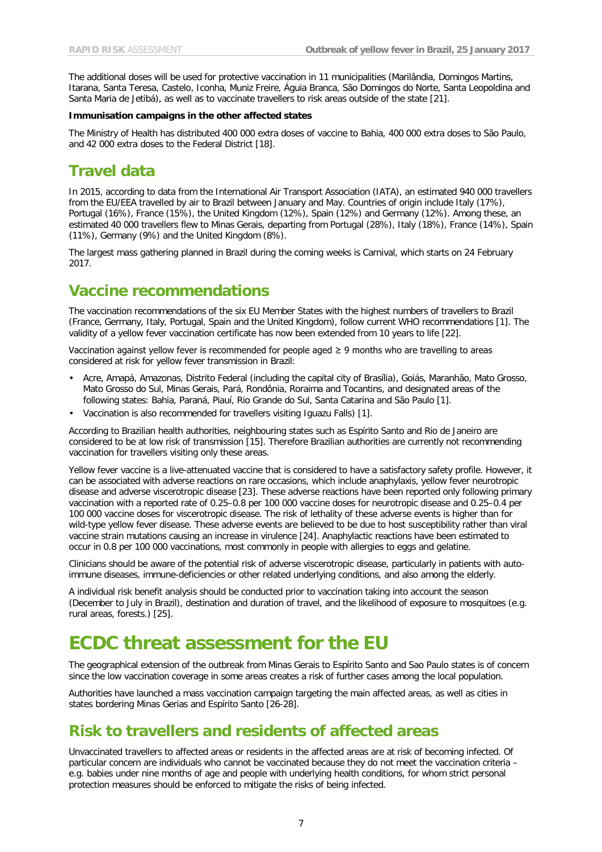The additional doses will be used for protective vaccination in 11 municipalities (Marilândia, Domingos Martins, Itarana, Santa Teresa, Castelo, Iconha, Muniz Freire, Águia Branca, São Domingos do Norte, Santa Leopoldina and Santa Maria de Jetibá), as well as to vaccinate travellers to risk areas outside of the state [21].

#### **Immunisation campaigns in the other affected states**

The Ministry of Health has distributed 400 000 extra doses of vaccine to Bahia, 400 000 extra doses to São Paulo, and 42 000 extra doses to the Federal District [18].

## **Travel data**

In 2015, according to data from the International Air Transport Association (IATA), an estimated 940 000 travellers from the EU/EEA travelled by air to Brazil between January and May. Countries of origin include Italy (17%), Portugal (16%), France (15%), the United Kingdom (12%), Spain (12%) and Germany (12%). Among these, an estimated 40 000 travellers flew to Minas Gerais, departing from Portugal (28%), Italy (18%), France (14%), Spain (11%), Germany (9%) and the United Kingdom (8%).

The largest mass gathering planned in Brazil during the coming weeks is Carnival, which starts on 24 February 2017.

## **Vaccine recommendations**

The vaccination recommendations of the six EU Member States with the highest numbers of travellers to Brazil (France, Germany, Italy, Portugal, Spain and the United Kingdom), follow current WHO recommendations [1]. The validity of a yellow fever vaccination certificate has now been extended from 10 years to life [22].

Vaccination against yellow fever is recommended for people aged ≥ 9 months who are travelling to areas considered at risk for yellow fever transmission in Brazil:

- Acre, Amapá, Amazonas, Distrito Federal (including the capital city of Brasília), Goiás, Maranhão, Mato Grosso, Mato Grosso do Sul, Minas Gerais, Pará, Rondônia, Roraima and Tocantins, and designated areas of the following states: Bahia, Paraná, Piauí, Rio Grande do Sul, Santa Catarina and São Paulo [1].
- Vaccination is also recommended for travellers visiting Iguazu Falls) [1].

According to Brazilian health authorities, neighbouring states such as Espírito Santo and Rio de Janeiro are considered to be at low risk of transmission [15]. Therefore Brazilian authorities are currently not recommending vaccination for travellers visiting only these areas.

Yellow fever vaccine is a live-attenuated vaccine that is considered to have a satisfactory safety profile. However, it can be associated with adverse reactions on rare occasions, which include anaphylaxis, yellow fever neurotropic disease and adverse viscerotropic disease [23]. These adverse reactions have been reported only following primary vaccination with a reported rate of 0.25–0.8 per 100 000 vaccine doses for neurotropic disease and 0.25–0.4 per 100 000 vaccine doses for viscerotropic disease. The risk of lethality of these adverse events is higher than for wild-type yellow fever disease. These adverse events are believed to be due to host susceptibility rather than viral vaccine strain mutations causing an increase in virulence [24]. Anaphylactic reactions have been estimated to occur in 0.8 per 100 000 vaccinations, most commonly in people with allergies to eggs and gelatine.

Clinicians should be aware of the potential risk of adverse viscerotropic disease, particularly in patients with autoimmune diseases, immune-deficiencies or other related underlying conditions, and also among the elderly.

A individual risk benefit analysis should be conducted prior to vaccination taking into account the season (December to July in Brazil), destination and duration of travel, and the likelihood of exposure to mosquitoes (e.g. rural areas, forests.) [25].

## **ECDC threat assessment for the EU**

The geographical extension of the outbreak from Minas Gerais to Espírito Santo and Sao Paulo states is of concern since the low vaccination coverage in some areas creates a risk of further cases among the local population.

Authorities have launched a mass vaccination campaign targeting the main affected areas, as well as cities in states bordering Minas Gerias and Espírito Santo [26-28].

## **Risk to travellers and residents of affected areas**

Unvaccinated travellers to affected areas or residents in the affected areas are at risk of becoming infected. Of particular concern are individuals who cannot be vaccinated because they do not meet the vaccination criteria – e.g. babies under nine months of age and people with underlying health conditions, for whom strict personal protection measures should be enforced to mitigate the risks of being infected.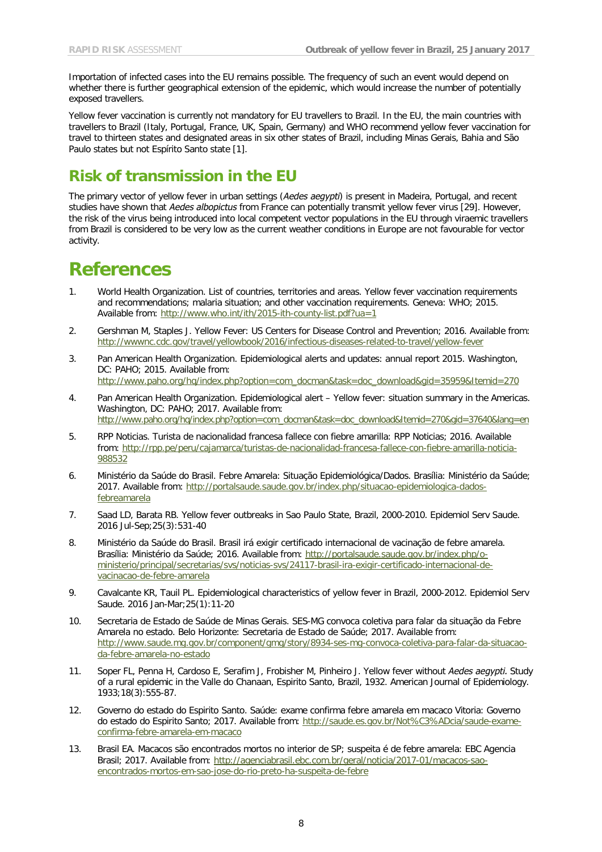Importation of infected cases into the EU remains possible. The frequency of such an event would depend on whether there is further geographical extension of the epidemic, which would increase the number of potentially exposed travellers.

Yellow fever vaccination is currently not mandatory for EU travellers to Brazil. In the EU, the main countries with travellers to Brazil (Italy, Portugal, France, UK, Spain, Germany) and WHO recommend yellow fever vaccination for travel to thirteen states and designated areas in six other states of Brazil, including Minas Gerais, Bahia and São Paulo states but not Espírito Santo state [1].

## **Risk of transmission in the EU**

The primary vector of yellow fever in urban settings (*Aedes aegypti*) is present in Madeira, Portugal, and recent studies have shown that *Aedes albopictus* from France can potentially transmit yellow fever virus [29]. However, the risk of the virus being introduced into local competent vector populations in the EU through viraemic travellers from Brazil is considered to be very low as the current weather conditions in Europe are not favourable for vector activity.

## **References**

- 1. World Health Organization. List of countries, territories and areas. Yellow fever vaccination requirements and recommendations; malaria situation; and other vaccination requirements. Geneva: WHO; 2015. Available from:<http://www.who.int/ith/2015-ith-county-list.pdf?ua=1>
- 2. Gershman M, Staples J. Yellow Fever: US Centers for Disease Control and Prevention; 2016. Available from: <http://wwwnc.cdc.gov/travel/yellowbook/2016/infectious-diseases-related-to-travel/yellow-fever>
- 3. Pan American Health Organization. Epidemiological alerts and updates: annual report 2015. Washington, DC: PAHO; 2015. Available from: [http://www.paho.org/hq/index.php?option=com\\_docman&task=doc\\_download&gid=35959&Itemid=270](http://www.paho.org/hq/index.php?option=com_docman&task=doc_download&gid=35959&Itemid=270)
- 4. Pan American Health Organization. Epidemiological alert Yellow fever: situation summary in the Americas. Washington, DC: PAHO; 2017. Available from: [http://www.paho.org/hq/index.php?option=com\\_docman&task=doc\\_download&Itemid=270&gid=37640&lang=en](http://www.paho.org/hq/index.php?option=com_docman&task=doc_download&Itemid=270&gid=37640&lang=en)
- 5. RPP Noticias. Turista de nacionalidad francesa fallece con fiebre amarilla: RPP Noticias; 2016. Available from: [http://rpp.pe/peru/cajamarca/turistas-de-nacionalidad-francesa-fallece-con-fiebre-amarilla-noticia-](http://rpp.pe/peru/cajamarca/turistas-de-nacionalidad-francesa-fallece-con-fiebre-amarilla-noticia-988532)[988532](http://rpp.pe/peru/cajamarca/turistas-de-nacionalidad-francesa-fallece-con-fiebre-amarilla-noticia-988532)
- 6. Ministério da Saúde do Brasil. Febre Amarela: Situação Epidemiológica/Dados. Brasília: Ministério da Saúde; 2017. Available from: [http://portalsaude.saude.gov.br/index.php/situacao-epidemiologica-dados](http://portalsaude.saude.gov.br/index.php/situacao-epidemiologica-dados-febreamarela)[febreamarela](http://portalsaude.saude.gov.br/index.php/situacao-epidemiologica-dados-febreamarela)
- 7. Saad LD, Barata RB. Yellow fever outbreaks in Sao Paulo State, Brazil, 2000-2010. Epidemiol Serv Saude. 2016 Jul-Sep;25(3):531-40
- 8. Ministério da Saúde do Brasil. Brasil irá exigir certificado internacional de vacinação de febre amarela. Brasília: Ministério da Saúde; 2016. Available from: [http://portalsaude.saude.gov.br/index.php/o](http://portalsaude.saude.gov.br/index.php/o-ministerio/principal/secretarias/svs/noticias-svs/24117-brasil-ira-exigir-certificado-internacional-de-vacinacao-de-febre-amarela)[ministerio/principal/secretarias/svs/noticias-svs/24117-brasil-ira-exigir-certificado-internacional-de](http://portalsaude.saude.gov.br/index.php/o-ministerio/principal/secretarias/svs/noticias-svs/24117-brasil-ira-exigir-certificado-internacional-de-vacinacao-de-febre-amarela)[vacinacao-de-febre-amarela](http://portalsaude.saude.gov.br/index.php/o-ministerio/principal/secretarias/svs/noticias-svs/24117-brasil-ira-exigir-certificado-internacional-de-vacinacao-de-febre-amarela)
- 9. Cavalcante KR, Tauil PL. Epidemiological characteristics of yellow fever in Brazil, 2000-2012. Epidemiol Serv Saude. 2016 Jan-Mar;25(1):11-20
- 10. Secretaria de Estado de Saúde de Minas Gerais. SES-MG convoca coletiva para falar da situação da Febre Amarela no estado. Belo Horizonte: Secretaria de Estado de Saúde; 2017. Available from: [http://www.saude.mg.gov.br/component/gmg/story/8934-ses-mg-convoca-coletiva-para-falar-da-situacao](http://www.saude.mg.gov.br/component/gmg/story/8934-ses-mg-convoca-coletiva-para-falar-da-situacao-da-febre-amarela-no-estado)[da-febre-amarela-no-estado](http://www.saude.mg.gov.br/component/gmg/story/8934-ses-mg-convoca-coletiva-para-falar-da-situacao-da-febre-amarela-no-estado)
- 11. Soper FL, Penna H, Cardoso E, Serafim J, Frobisher M, Pinheiro J. Yellow fever without *Aedes aegypti.* Study of a rural epidemic in the Valle do Chanaan, Espirito Santo, Brazil, 1932. American Journal of Epidemiology. 1933;18(3):555-87.
- 12. Governo do estado do Espirito Santo. Saúde: exame confirma febre amarela em macaco Vitoria: Governo do estado do Espirito Santo; 2017. Available from: [http://saude.es.gov.br/Not%C3%ADcia/saude-exame](http://saude.es.gov.br/Not%C3%ADcia/saude-exame-confirma-febre-amarela-em-macaco)[confirma-febre-amarela-em-macaco](http://saude.es.gov.br/Not%C3%ADcia/saude-exame-confirma-febre-amarela-em-macaco)
- 13. Brasil EA. Macacos são encontrados mortos no interior de SP; suspeita é de febre amarela: EBC Agencia Brasil; 2017. Available from: [http://agenciabrasil.ebc.com.br/geral/noticia/2017-01/macacos-sao](http://agenciabrasil.ebc.com.br/geral/noticia/2017-01/macacos-sao-encontrados-mortos-em-sao-jose-do-rio-preto-ha-suspeita-de-febre)[encontrados-mortos-em-sao-jose-do-rio-preto-ha-suspeita-de-febre](http://agenciabrasil.ebc.com.br/geral/noticia/2017-01/macacos-sao-encontrados-mortos-em-sao-jose-do-rio-preto-ha-suspeita-de-febre)